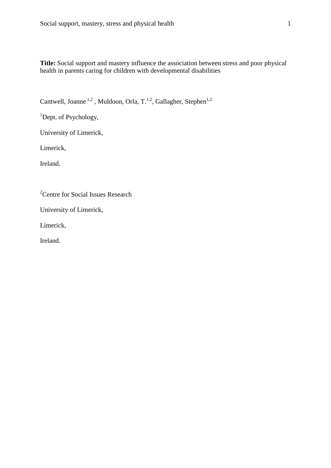**Title:** Social support and mastery influence the association between stress and poor physical health in parents caring for children with developmental disabilities

Cantwell, Joanne<sup>1,2</sup>, Muldoon, Orla, T.<sup>1,2</sup>, Gallagher, Stephen<sup>1,2</sup>

<sup>1</sup>Dept. of Psychology,

University of Limerick,

Limerick,

Ireland.

<sup>2</sup>Centre for Social Issues Research

University of Limerick,

Limerick,

Ireland.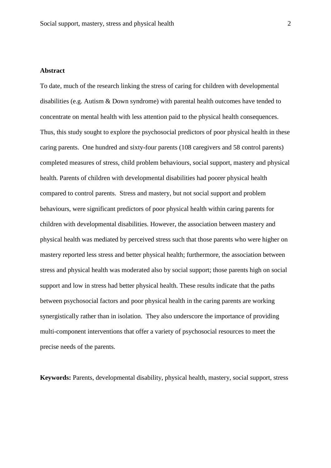# **Abstract**

To date, much of the research linking the stress of caring for children with developmental disabilities (e.g. Autism & Down syndrome) with parental health outcomes have tended to concentrate on mental health with less attention paid to the physical health consequences. Thus, this study sought to explore the psychosocial predictors of poor physical health in these caring parents. One hundred and sixty-four parents (108 caregivers and 58 control parents) completed measures of stress, child problem behaviours, social support, mastery and physical health. Parents of children with developmental disabilities had poorer physical health compared to control parents. Stress and mastery, but not social support and problem behaviours, were significant predictors of poor physical health within caring parents for children with developmental disabilities. However, the association between mastery and physical health was mediated by perceived stress such that those parents who were higher on mastery reported less stress and better physical health; furthermore, the association between stress and physical health was moderated also by social support; those parents high on social support and low in stress had better physical health. These results indicate that the paths between psychosocial factors and poor physical health in the caring parents are working synergistically rather than in isolation. They also underscore the importance of providing multi-component interventions that offer a variety of psychosocial resources to meet the precise needs of the parents.

**Keywords:** Parents, developmental disability, physical health, mastery, social support, stress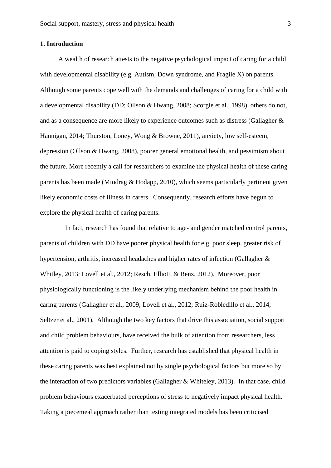# **1. Introduction**

 A wealth of research attests to the negative psychological impact of caring for a child with developmental disability (e.g. Autism, Down syndrome, and Fragile X) on parents. Although some parents cope well with the demands and challenges of caring for a child with a developmental disability (DD; Ollson & Hwang, 2008; Scorgie et al., 1998), others do not, and as a consequence are more likely to experience outcomes such as distress (Gallagher & Hannigan, 2014; Thurston, Loney, Wong & Browne, 2011), anxiety, low self-esteem, depression (Ollson & Hwang, 2008), poorer general emotional health, and pessimism about the future. More recently a call for researchers to examine the physical health of these caring parents has been made (Miodrag & Hodapp, 2010), which seems particularly pertinent given likely economic costs of illness in carers. Consequently, research efforts have begun to explore the physical health of caring parents.

 In fact, research has found that relative to age- and gender matched control parents, parents of children with DD have poorer physical health for e.g. poor sleep, greater risk of hypertension, arthritis, increased headaches and higher rates of infection (Gallagher & Whitley, 2013; Lovell et al., 2012; Resch, Elliott, & Benz, 2012). Moreover, poor physiologically functioning is the likely underlying mechanism behind the poor health in caring parents (Gallagher et al., 2009; Lovell et al., 2012; Ruiz-Robledillo et al., 2014; Seltzer et al., 2001). Although the two key factors that drive this association, social support and child problem behaviours, have received the bulk of attention from researchers, less attention is paid to coping styles. Further, research has established that physical health in these caring parents was best explained not by single psychological factors but more so by the interaction of two predictors variables (Gallagher & Whiteley, 2013). In that case, child problem behaviours exacerbated perceptions of stress to negatively impact physical health. Taking a piecemeal approach rather than testing integrated models has been criticised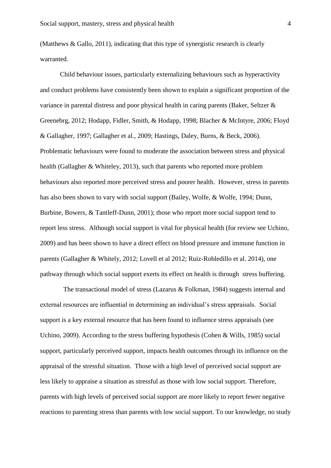(Matthews & Gallo, 2011), indicating that this type of synergistic research is clearly warranted.

Child behaviour issues, particularly externalizing behaviours such as hyperactivity and conduct problems have consistently been shown to explain a significant proportion of the variance in parental distress and poor physical health in caring parents (Baker, Seltzer & Greenebrg, 2012; Hodapp, Fidler, Smith, & Hodapp, 1998; Blacher & McIntyre, 2006; Floyd & Gallagher, 1997; Gallagher et al., 2009; Hastings, Daley, Burns, & Beck, 2006). Problematic behaviours were found to moderate the association between stress and physical health (Gallagher & Whiteley, 2013), such that parents who reported more problem behaviours also reported more perceived stress and poorer health. However, stress in parents has also been shown to vary with social support (Bailey, Wolfe, & Wolfe, 1994; Dunn, Burbine, Bowers, & Tantleff-Dunn, 2001); those who report more social support tend to report less stress. Although social support is vital for physical health (for review see Uchino, 2009) and has been shown to have a direct effect on blood pressure and immune function in parents (Gallagher & Whitely, 2012; Lovell et al 2012; Ruiz-Robledillo et al. 2014), one pathway through which social support exerts its effect on health is through stress buffering.

 The transactional model of stress (Lazarus & Folkman, 1984) suggests internal and external resources are influential in determining an individual's stress appraisals. Social support is a key external resource that has been found to influence stress appraisals (see Uchino, 2009). According to the stress buffering hypothesis (Cohen & Wills, 1985) social support, particularly perceived support, impacts health outcomes through its influence on the appraisal of the stressful situation. Those with a high level of perceived social support are less likely to appraise a situation as stressful as those with low social support. Therefore, parents with high levels of perceived social support are more likely to report fewer negative reactions to parenting stress than parents with low social support. To our knowledge, no study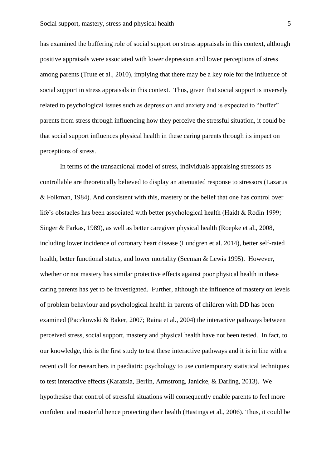has examined the buffering role of social support on stress appraisals in this context, although positive appraisals were associated with lower depression and lower perceptions of stress among parents (Trute et al., 2010), implying that there may be a key role for the influence of social support in stress appraisals in this context. Thus, given that social support is inversely related to psychological issues such as depression and anxiety and is expected to "buffer" parents from stress through influencing how they perceive the stressful situation, it could be that social support influences physical health in these caring parents through its impact on perceptions of stress.

In terms of the transactional model of stress, individuals appraising stressors as controllable are theoretically believed to display an attenuated response to stressors (Lazarus & Folkman, 1984). And consistent with this, mastery or the belief that one has control over life's obstacles has been associated with better psychological health (Haidt & Rodin 1999; Singer & Farkas, 1989), as well as better caregiver physical health (Roepke et al., 2008, including lower incidence of coronary heart disease (Lundgren et al. 2014), better self-rated health, better functional status, and lower mortality (Seeman & Lewis 1995). However, whether or not mastery has similar protective effects against poor physical health in these caring parents has yet to be investigated. Further, although the influence of mastery on levels of problem behaviour and psychological health in parents of children with DD has been examined (Paczkowski & Baker, 2007; Raina et al., 2004) the interactive pathways between perceived stress, social support, mastery and physical health have not been tested. In fact, to our knowledge, this is the first study to test these interactive pathways and it is in line with a recent call for researchers in paediatric psychology to use contemporary statistical techniques to test interactive effects (Karazsia, Berlin, Armstrong, Janicke, & Darling, 2013). We hypothesise that control of stressful situations will consequently enable parents to feel more confident and masterful hence protecting their health (Hastings et al., 2006). Thus, it could be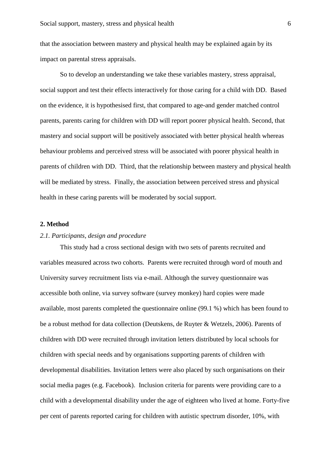that the association between mastery and physical health may be explained again by its impact on parental stress appraisals.

So to develop an understanding we take these variables mastery, stress appraisal, social support and test their effects interactively for those caring for a child with DD. Based on the evidence, it is hypothesised first, that compared to age-and gender matched control parents, parents caring for children with DD will report poorer physical health. Second, that mastery and social support will be positively associated with better physical health whereas behaviour problems and perceived stress will be associated with poorer physical health in parents of children with DD. Third, that the relationship between mastery and physical health will be mediated by stress. Finally, the association between perceived stress and physical health in these caring parents will be moderated by social support.

# **2. Method**

# *2.1. Participants, design and procedure*

This study had a cross sectional design with two sets of parents recruited and variables measured across two cohorts. Parents were recruited through word of mouth and University survey recruitment lists via e-mail. Although the survey questionnaire was accessible both online, via survey software (survey monkey) hard copies were made available, most parents completed the questionnaire online (99.1 %) which has been found to be a robust method for data collection (Deutskens, de Ruyter & Wetzels, 2006). Parents of children with DD were recruited through invitation letters distributed by local schools for children with special needs and by organisations supporting parents of children with developmental disabilities. Invitation letters were also placed by such organisations on their social media pages (e.g. Facebook). Inclusion criteria for parents were providing care to a child with a developmental disability under the age of eighteen who lived at home. Forty-five per cent of parents reported caring for children with autistic spectrum disorder, 10%, with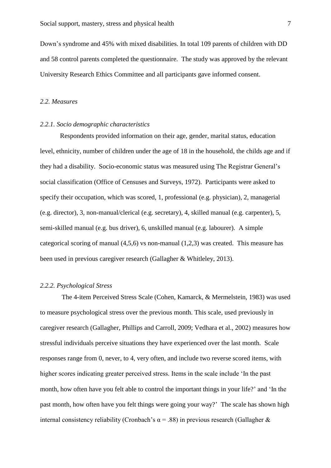Down's syndrome and 45% with mixed disabilities. In total 109 parents of children with DD and 58 control parents completed the questionnaire. The study was approved by the relevant University Research Ethics Committee and all participants gave informed consent.

#### *2.2. Measures*

# *2.2.1. Socio demographic characteristics*

 Respondents provided information on their age, gender, marital status, education level, ethnicity, number of children under the age of 18 in the household, the childs age and if they had a disability. Socio-economic status was measured using The Registrar General's social classification (Office of Censuses and Surveys, 1972). Participants were asked to specify their occupation, which was scored, 1, professional (e.g. physician), 2, managerial (e.g. director), 3, non-manual/clerical (e.g. secretary), 4, skilled manual (e.g. carpenter), 5, semi-skilled manual (e.g. bus driver), 6, unskilled manual (e.g. labourer). A simple categorical scoring of manual  $(4.5.6)$  vs non-manual  $(1.2.3)$  was created. This measure has been used in previous caregiver research (Gallagher & Whitleley, 2013).

#### *2.2.2. Psychological Stress*

The 4-item Perceived Stress Scale (Cohen, Kamarck, & Mermelstein, 1983) was used to measure psychological stress over the previous month. This scale, used previously in caregiver research (Gallagher, Phillips and Carroll, 2009; Vedhara et al., 2002) measures how stressful individuals perceive situations they have experienced over the last month. Scale responses range from 0, never, to 4, very often, and include two reverse scored items, with higher scores indicating greater perceived stress. Items in the scale include 'In the past month, how often have you felt able to control the important things in your life?' and 'In the past month, how often have you felt things were going your way?' The scale has shown high internal consistency reliability (Cronbach's  $\alpha$  = .88) in previous research (Gallagher &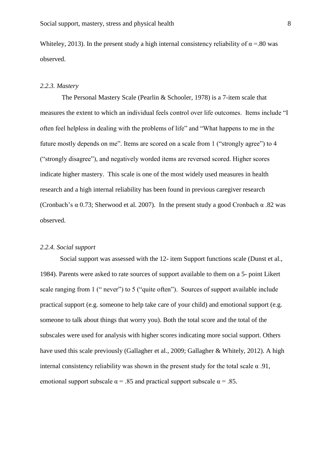Whiteley, 2013). In the present study a high internal consistency reliability of  $\alpha = 80$  was observed.

# *2.2.3. Mastery*

The Personal Mastery Scale (Pearlin & Schooler, 1978) is a 7-item scale that measures the extent to which an individual feels control over life outcomes. Items include "I often feel helpless in dealing with the problems of life" and "What happens to me in the future mostly depends on me". Items are scored on a scale from 1 ("strongly agree") to 4 ("strongly disagree"), and negatively worded items are reversed scored. Higher scores indicate higher mastery. This scale is one of the most widely used measures in health research and a high internal reliability has been found in previous caregiver research (Cronbach's  $\alpha$  0.73; Sherwood et al. 2007). In the present study a good Cronbach  $\alpha$  .82 was observed.

# *2.2.4. Social support*

Social support was assessed with the 12- item Support functions scale (Dunst et al., 1984). Parents were asked to rate sources of support available to them on a 5- point Likert scale ranging from 1 (" never") to 5 ("quite often"). Sources of support available include practical support (e.g. someone to help take care of your child) and emotional support (e.g. someone to talk about things that worry you). Both the total score and the total of the subscales were used for analysis with higher scores indicating more social support. Others have used this scale previously (Gallagher et al., 2009; Gallagher & Whitely, 2012). A high internal consistency reliability was shown in the present study for the total scale  $\alpha$ .91, emotional support subscale  $\alpha$  = .85 and practical support subscale  $\alpha$  = .85.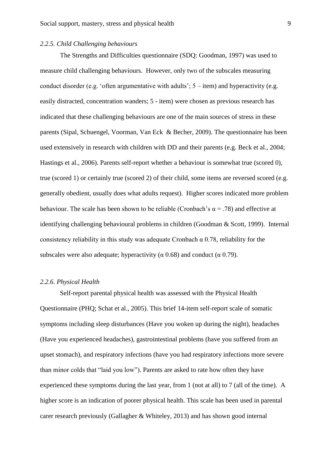#### *2.2.5. Child Challenging behaviours*

The Strengths and Difficulties questionnaire (SDQ: Goodman, 1997) was used to measure child challenging behaviours. However, only two of the subscales measuring conduct disorder (e.g. 'often argumentative with adults';  $5 -$ item) and hyperactivity (e.g. easily distracted, concentration wanders; 5 - item) were chosen as previous research has indicated that these challenging behaviours are one of the main sources of stress in these parents (Sipal, Schuengel, Voorman, Van Eck & Becher, 2009). The questionnaire has been used extensively in research with children with DD and their parents (e.g. Beck et al., 2004; Hastings et al., 2006). Parents self-report whether a behaviour is somewhat true (scored 0), true (scored 1) or certainly true (scored 2) of their child, some items are reversed scored (e.g. generally obedient, usually does what adults request). Higher scores indicated more problem behaviour. The scale has been shown to be reliable (Cronbach's  $\alpha$  = .78) and effective at identifying challenging behavioural problems in children (Goodman & Scott, 1999). Internal consistency reliability in this study was adequate Cronbach  $\alpha$  0.78, reliability for the subscales were also adequate; hyperactivity ( $\alpha$  0.68) and conduct ( $\alpha$  0.79).

#### *2.2.6. Physical Health*

Self-report parental physical health was assessed with the Physical Health Questionnaire (PHQ; Schat et al., 2005). This brief 14-item self-report scale of somatic symptoms including sleep disturbances (Have you woken up during the night), headaches (Have you experienced headaches), gastrointestinal problems (have you suffered from an upset stomach), and respiratory infections (have you had respiratory infections more severe than minor colds that "laid you low"). Parents are asked to rate how often they have experienced these symptoms during the last year, from 1 (not at all) to 7 (all of the time). A higher score is an indication of poorer physical health. This scale has been used in parental carer research previously (Gallagher & Whiteley, 2013) and has shown good internal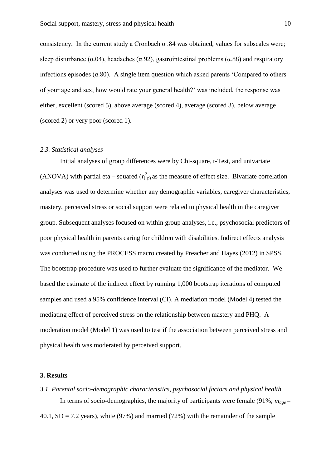consistency. In the current study a Cronbach  $\alpha$  .84 was obtained, values for subscales were; sleep disturbance ( $\alpha$ .04), headaches ( $\alpha$ .92), gastrointestinal problems ( $\alpha$ .88) and respiratory infections episodes  $(\alpha, 80)$ . A single item question which asked parents 'Compared to others of your age and sex, how would rate your general health?' was included, the response was either, excellent (scored 5), above average (scored 4), average (scored 3), below average (scored 2) or very poor (scored 1).

#### *2.3. Statistical analyses*

Initial analyses of group differences were by Chi-square, t-Test, and univariate (ANOVA) with partial eta – squared  $(\eta_{\text{p}}^2)$  as the measure of effect size. Bivariate correlation analyses was used to determine whether any demographic variables, caregiver characteristics, mastery, perceived stress or social support were related to physical health in the caregiver group. Subsequent analyses focused on within group analyses, i.e., psychosocial predictors of poor physical health in parents caring for children with disabilities. Indirect effects analysis was conducted using the PROCESS macro created by Preacher and Hayes (2012) in SPSS. The bootstrap procedure was used to further evaluate the significance of the mediator. We based the estimate of the indirect effect by running 1,000 bootstrap iterations of computed samples and used a 95% confidence interval (CI). A mediation model (Model 4) tested the mediating effect of perceived stress on the relationship between mastery and PHQ. A moderation model (Model 1) was used to test if the association between perceived stress and physical health was moderated by perceived support.

#### **3. Results**

*3.1. Parental socio-demographic characteristics, psychosocial factors and physical health* In terms of socio-demographics, the majority of participants were female (91%;  $m_{\text{age}} =$ 40.1,  $SD = 7.2$  years), white (97%) and married (72%) with the remainder of the sample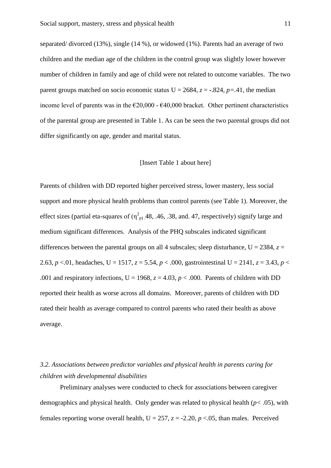separated/ divorced (13%), single (14 %), or widowed (1%). Parents had an average of two children and the median age of the children in the control group was slightly lower however number of children in family and age of child were not related to outcome variables. The two parent groups matched on socio economic status  $U = 2684$ ,  $z = -.824$ ,  $p = .41$ , the median income level of parents was in the  $\epsilon$ 20,000 -  $\epsilon$ 40,000 bracket. Other pertinent characteristics of the parental group are presented in Table 1. As can be seen the two parental groups did not differ significantly on age, gender and marital status.

# [Insert Table 1 about here]

Parents of children with DD reported higher perceived stress, lower mastery, less social support and more physical health problems than control parents (see Table 1). Moreover, the effect sizes (partial eta-squares of  $(\eta_{p}^{2})$  48, .46, .38, and. 47, respectively) signify large and medium significant differences. Analysis of the PHQ subscales indicated significant differences between the parental groups on all 4 subscales; sleep disturbance,  $U = 2384$ ,  $z =$ 2.63,  $p < 0.01$ , headaches, U = 1517,  $z = 5.54$ ,  $p < 0.000$ , gastrointestinal U = 2141,  $z = 3.43$ ,  $p <$ .001 and respiratory infections,  $U = 1968$ ,  $z = 4.03$ ,  $p < .000$ . Parents of children with DD reported their health as worse across all domains. Moreover, parents of children with DD rated their health as average compared to control parents who rated their health as above average.

# *3.2. Associations between predictor variables and physical health in parents caring for children with developmental disabilities*

Preliminary analyses were conducted to check for associations between caregiver demographics and physical health. Only gender was related to physical health (*p<* .05), with females reporting worse overall health,  $U = 257$ ,  $z = -2.20$ ,  $p < 0.05$ , than males. Perceived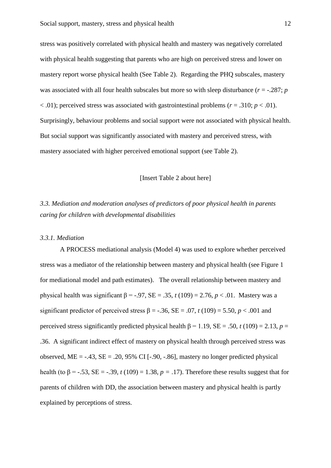stress was positively correlated with physical health and mastery was negatively correlated with physical health suggesting that parents who are high on perceived stress and lower on mastery report worse physical health (See Table 2). Regarding the PHQ subscales, mastery was associated with all four health subscales but more so with sleep disturbance (*r* = -.287; *p* < .01); perceived stress was associated with gastrointestinal problems (*r* = .310; *p* < .01). Surprisingly, behaviour problems and social support were not associated with physical health. But social support was significantly associated with mastery and perceived stress, with mastery associated with higher perceived emotional support (see Table 2).

#### [Insert Table 2 about here]

*3.3. Mediation and moderation analyses of predictors of poor physical health in parents caring for children with developmental disabilities*

## *3.3.1. Mediation*

A PROCESS mediational analysis (Model 4) was used to explore whether perceived stress was a mediator of the relationship between mastery and physical health (see Figure 1 for mediational model and path estimates). The overall relationship between mastery and physical health was significant  $\beta$  = -.97,  $SE = .35$ , *t* (109) = 2.76, *p* < .01. Mastery was a significant predictor of perceived stress  $\beta = -.36$ ,  $SE = .07$ ,  $t(109) = 5.50$ ,  $p < .001$  and perceived stress significantly predicted physical health  $\beta$  = 1.19, SE = .50, *t* (109) = 2.13, *p* = .36. A significant indirect effect of mastery on physical health through perceived stress was observed,  $ME = -0.43$ ,  $SE = 0.20$ ,  $95\%$  CI [ $-0.90$ ,  $-0.86$ ], mastery no longer predicted physical health (to  $\beta$  = -.53, SE = -.39, *t* (109) = 1.38, *p* = .17). Therefore these results suggest that for parents of children with DD, the association between mastery and physical health is partly explained by perceptions of stress.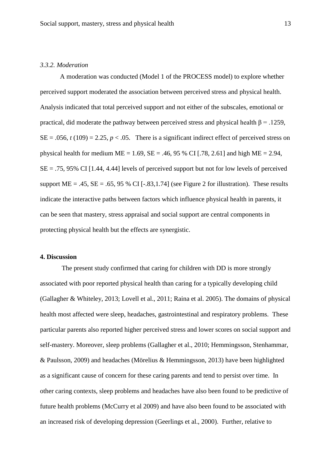# *3.3.2. Moderation*

A moderation was conducted (Model 1 of the PROCESS model) to explore whether perceived support moderated the association between perceived stress and physical health. Analysis indicated that total perceived support and not either of the subscales, emotional or practical, did moderate the pathway between perceived stress and physical health β = .1259,  $SE = .056$ ,  $t(109) = 2.25$ ,  $p < .05$ . There is a significant indirect effect of perceived stress on physical health for medium  $ME = 1.69$ ,  $SE = .46$ , 95 % CI [.78, 2.61] and high  $ME = 2.94$ ,  $SE = .75, 95\%$  CI [1.44, 4.44] levels of perceived support but not for low levels of perceived support ME = .45, SE = .65, 95 % CI [-.83,1.74] (see Figure 2 for illustration). These results indicate the interactive paths between factors which influence physical health in parents, it can be seen that mastery, stress appraisal and social support are central components in protecting physical health but the effects are synergistic.

# **4. Discussion**

 The present study confirmed that caring for children with DD is more strongly associated with poor reported physical health than caring for a typically developing child (Gallagher & Whiteley, 2013; Lovell et al., 2011; Raina et al. 2005). The domains of physical health most affected were sleep, headaches, gastrointestinal and respiratory problems. These particular parents also reported higher perceived stress and lower scores on social support and self-mastery. Moreover, sleep problems (Gallagher et al., 2010; Hemmingsson, Stenhammar, & Paulsson, 2009) and headaches (Mörelius & Hemmingsson, 2013) have been highlighted as a significant cause of concern for these caring parents and tend to persist over time. In other caring contexts, sleep problems and headaches have also been found to be predictive of future health problems (McCurry et al 2009) and have also been found to be associated with an increased risk of developing depression (Geerlings et al., 2000). Further, relative to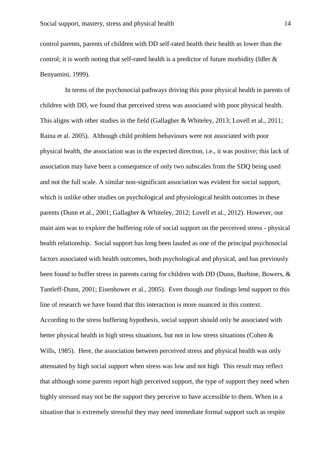control parents, parents of children with DD self-rated health their health as lower than the control; it is worth noting that self-rated health is a predictor of future morbidity (Idler & Benyamini, 1999).

 In terms of the psychosocial pathways driving this poor physical health in parents of children with DD, we found that perceived stress was associated with poor physical health. This aligns with other studies in the field (Gallagher & Whiteley, 2013; Lovell et al., 2011; Raina et al. 2005). Although child problem behaviours were not associated with poor physical health, the association was in the expected direction, i.e., it was positive; this lack of association may have been a consequence of only two subscales from the SDQ being used and not the full scale. A similar non-significant association was evident for social support, which is unlike other studies on psychological and physiological health outcomes in these parents (Dunn et al., 2001; Gallagher & Whiteley, 2012; Lovell et al., 2012). However, our main aim was to explore the buffering role of social support on the perceived stress - physical health relationship. Social support has long been lauded as one of the principal psychosocial factors associated with health outcomes, both psychological and physical, and has previously been found to buffer stress in parents caring for children with DD (Dunn, Burbine, Bowers, & Tantleff-Dunn, 2001; Eisenhower et al., 2005). Even though our findings lend support to this line of research we have found that this interaction is more nuanced in this context. According to the stress buffering hypothesis, social support should only be associated with better physical health in high stress situations, but not in low stress situations (Cohen & Wills, 1985). Here, the association between perceived stress and physical health was only attenuated by high social support when stress was low and not high This result may reflect that although some parents report high perceived support, the type of support they need when highly stressed may not be the support they perceive to have accessible to them. When in a situation that is extremely stressful they may need immediate formal support such as respite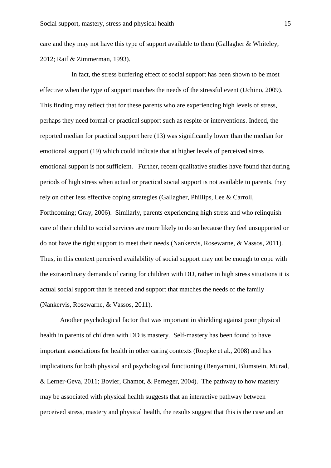care and they may not have this type of support available to them (Gallagher & Whiteley, 2012; Raif & Zimmerman, 1993).

In fact, the stress buffering effect of social support has been shown to be most effective when the type of support matches the needs of the stressful event (Uchino, 2009). This finding may reflect that for these parents who are experiencing high levels of stress, perhaps they need formal or practical support such as respite or interventions. Indeed, the reported median for practical support here (13) was significantly lower than the median for emotional support (19) which could indicate that at higher levels of perceived stress emotional support is not sufficient. Further, recent qualitative studies have found that during periods of high stress when actual or practical social support is not available to parents, they rely on other less effective coping strategies (Gallagher, Phillips, Lee & Carroll, Forthcoming; Gray, 2006). Similarly, parents experiencing high stress and who relinquish care of their child to social services are more likely to do so because they feel unsupported or do not have the right support to meet their needs (Nankervis, Rosewarne, & Vassos, 2011). Thus, in this context perceived availability of social support may not be enough to cope with the extraordinary demands of caring for children with DD, rather in high stress situations it is actual social support that is needed and support that matches the needs of the family (Nankervis, Rosewarne, & Vassos, 2011).

Another psychological factor that was important in shielding against poor physical health in parents of children with DD is mastery. Self-mastery has been found to have important associations for health in other caring contexts (Roepke et al., 2008) and has implications for both physical and psychological functioning (Benyamini, Blumstein, Murad, & Lerner-Geva, 2011; Bovier, Chamot, & Perneger, 2004). The pathway to how mastery may be associated with physical health suggests that an interactive pathway between perceived stress, mastery and physical health, the results suggest that this is the case and an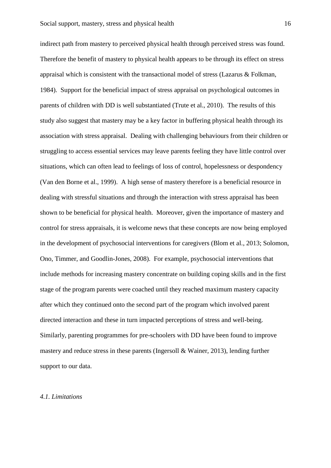indirect path from mastery to perceived physical health through perceived stress was found. Therefore the benefit of mastery to physical health appears to be through its effect on stress appraisal which is consistent with the transactional model of stress (Lazarus & Folkman, 1984). Support for the beneficial impact of stress appraisal on psychological outcomes in parents of children with DD is well substantiated (Trute et al., 2010). The results of this study also suggest that mastery may be a key factor in buffering physical health through its association with stress appraisal. Dealing with challenging behaviours from their children or struggling to access essential services may leave parents feeling they have little control over situations, which can often lead to feelings of loss of control, hopelessness or despondency (Van den Borne et al., 1999). A high sense of mastery therefore is a beneficial resource in dealing with stressful situations and through the interaction with stress appraisal has been shown to be beneficial for physical health. Moreover, given the importance of mastery and control for stress appraisals, it is welcome news that these concepts are now being employed in the development of psychosocial interventions for caregivers (Blom et al., 2013; Solomon, Ono, Timmer, and Goodlin-Jones, 2008). For example, psychosocial interventions that include methods for increasing mastery concentrate on building coping skills and in the first stage of the program parents were coached until they reached maximum mastery capacity after which they continued onto the second part of the program which involved parent directed interaction and these in turn impacted perceptions of stress and well-being. Similarly, parenting programmes for pre-schoolers with DD have been found to improve mastery and reduce stress in these parents (Ingersoll & Wainer, 2013), lending further support to our data.

#### *4.1. Limitations*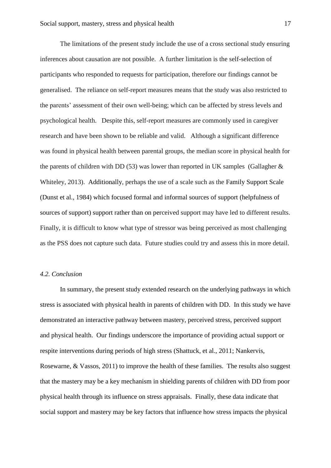The limitations of the present study include the use of a cross sectional study ensuring inferences about causation are not possible. A further limitation is the self-selection of participants who responded to requests for participation, therefore our findings cannot be generalised. The reliance on self-report measures means that the study was also restricted to the parents' assessment of their own well-being; which can be affected by stress levels and psychological health. Despite this, self-report measures are commonly used in caregiver research and have been shown to be reliable and valid. Although a significant difference was found in physical health between parental groups, the median score in physical health for the parents of children with DD (53) was lower than reported in UK samples (Gallagher  $\&$ Whiteley, 2013). Additionally, perhaps the use of a scale such as the Family Support Scale (Dunst et al., 1984) which focused formal and informal sources of support (helpfulness of sources of support) support rather than on perceived support may have led to different results. Finally, it is difficult to know what type of stressor was being perceived as most challenging as the PSS does not capture such data. Future studies could try and assess this in more detail.

#### *4.2. Conclusion*

In summary, the present study extended research on the underlying pathways in which stress is associated with physical health in parents of children with DD. In this study we have demonstrated an interactive pathway between mastery, perceived stress, perceived support and physical health. Our findings underscore the importance of providing actual support or respite interventions during periods of high stress (Shattuck, et al., 2011; Nankervis, Rosewarne, & Vassos, 2011) to improve the health of these families. The results also suggest that the mastery may be a key mechanism in shielding parents of children with DD from poor physical health through its influence on stress appraisals. Finally, these data indicate that social support and mastery may be key factors that influence how stress impacts the physical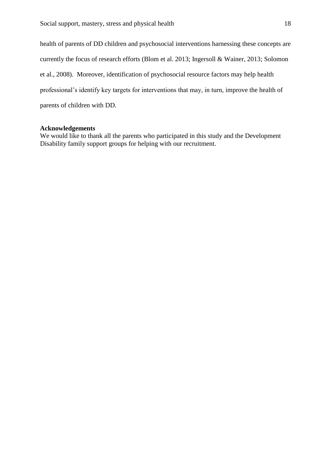health of parents of DD children and psychosocial interventions harnessing these concepts are currently the focus of research efforts (Blom et al. 2013; Ingersoll & Wainer, 2013; Solomon et al., 2008). Moreover, identification of psychosocial resource factors may help health professional's identify key targets for interventions that may, in turn, improve the health of parents of children with DD.

# **Acknowledgements**

We would like to thank all the parents who participated in this study and the Development Disability family support groups for helping with our recruitment.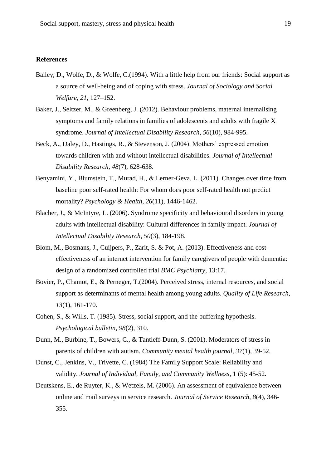#### **References**

- Bailey, D., Wolfe, D., & Wolfe, C.(1994). With a little help from our friends: Social support as a source of well-being and of coping with stress. *Journal of Sociology and Social Welfare*, *21*, 127–152.
- Baker, J., Seltzer, M., & Greenberg, J. (2012). Behaviour problems, maternal internalising symptoms and family relations in families of adolescents and adults with fragile X syndrome. *Journal of Intellectual Disability Research*, *56*(10), 984-995.
- Beck, A., Daley, D., Hastings, R., & Stevenson, J. (2004). Mothers' expressed emotion towards children with and without intellectual disabilities. *Journal of Intellectual Disability Research*, *48*(7), 628-638.
- Benyamini, Y., Blumstein, T., Murad, H., & Lerner-Geva, L. (2011). Changes over time from baseline poor self-rated health: For whom does poor self-rated health not predict mortality? *Psychology & Health*, *26*(11), 1446-1462.
- Blacher, J., & McIntyre, L. (2006). Syndrome specificity and behavioural disorders in young adults with intellectual disability: Cultural differences in family impact. *Journal of Intellectual Disability Research*, *50*(3), 184-198.
- Blom, M., Bosmans, J., Cuijpers, P., Zarit, S. & Pot, A. (2013). Effectiveness and costeffectiveness of an internet intervention for family caregivers of people with dementia: design of a randomized controlled trial *BMC Psychiatry,* 13:17.
- Bovier, P., Chamot, E., & Perneger, T.(2004). Perceived stress, internal resources, and social support as determinants of mental health among young adults. *Quality of Life Research*, *13*(1), 161-170.
- Cohen, S., & Wills, T. (1985). Stress, social support, and the buffering hypothesis. *Psychological bulletin*, *98*(2), 310.
- Dunn, M., Burbine, T., Bowers, C., & Tantleff-Dunn, S. (2001). Moderators of stress in parents of children with autism. *Community mental health journal*, *37*(1), 39-52.
- Dunst, C., Jenkins, V., Trivette, C. (1984) The Family Support Scale: Reliability and validity. *Journal of Individual, Family, and Community Wellness,* 1 (5): 45-52.
- Deutskens, E., de Ruyter, K., & Wetzels, M. (2006). An assessment of equivalence between online and mail surveys in service research. *Journal of Service Research*, *8*(4), 346- 355.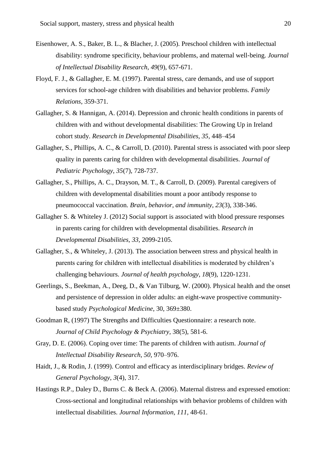- Eisenhower, A. S., Baker, B. L., & Blacher, J. (2005). Preschool children with intellectual disability: syndrome specificity, behaviour problems, and maternal well‐being. *Journal of Intellectual Disability Research*, *49*(9), 657-671.
- Floyd, F. J., & Gallagher, E. M. (1997). Parental stress, care demands, and use of support services for school-age children with disabilities and behavior problems. *Family Relations*, 359-371.
- Gallagher, S. & Hannigan, A. (2014). Depression and chronic health conditions in parents of children with and without developmental disabilities: The Growing Up in Ireland cohort study. *Research in Developmental Disabilities, 35,* 448–454
- Gallagher, S., Phillips, A. C., & Carroll, D. (2010). Parental stress is associated with poor sleep quality in parents caring for children with developmental disabilities. *Journal of Pediatric Psychology*, *35*(7), 728-737.
- Gallagher, S., Phillips, A. C., Drayson, M. T., & Carroll, D. (2009). Parental caregivers of children with developmental disabilities mount a poor antibody response to pneumococcal vaccination. *Brain, behavior, and immunity*, *23*(3), 338-346.
- Gallagher S. & Whiteley J. (2012) Social support is associated with blood pressure responses in parents caring for children with developmental disabilities. *Research in Developmental Disabilities, 33,* 2099-2105.
- Gallagher, S., & Whiteley, J. (2013). The association between stress and physical health in parents caring for children with intellectual disabilities is moderated by children's challenging behaviours. *Journal of health psychology*, *18*(9), 1220-1231.
- Geerlings, S., Beekman, A., Deeg, D., & Van Tilburg, W. (2000). Physical health and the onset and persistence of depression in older adults: an eight-wave prospective communitybased study *Psychological Medicine*, 30, 369±380.
- Goodman R, (1997) The Strengths and Difficulties Questionnaire: a research note. *Journal of Child Psychology & Psychiatry,* 38(5), 581-6.
- Gray, D. E. (2006). Coping over time: The parents of children with autism. *Journal of Intellectual Disability Research*, *50*, 970–976.
- Haidt, J., & Rodin, J. (1999). Control and efficacy as interdisciplinary bridges. *Review of General Psychology*, *3*(4), 317.
- Hastings R.P., Daley D., Burns C. & Beck A. (2006). Maternal distress and expressed emotion: Cross-sectional and longitudinal relationships with behavior problems of children with intellectual disabilities. *Journal Information, 111,* 48-61.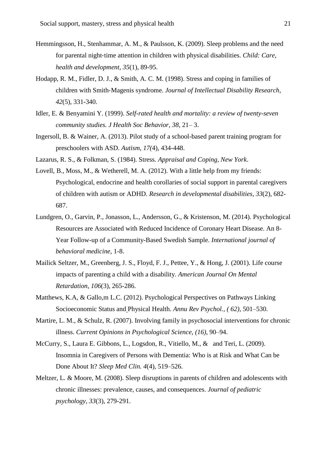- Hemmingsson, H., Stenhammar, A. M., & Paulsson, K. (2009). Sleep problems and the need for parental night-time attention in children with physical disabilities. *Child: Care, health and development*, *35*(1), 89-95.
- Hodapp, R. M., Fidler, D. J., & Smith, A. C. M. (1998). Stress and coping in families of children with Smith‐Magenis syndrome. *Journal of Intellectual Disability Research*, *42*(5), 331-340.
- Idler, E. & Benyamini Y. (1999). *Self-rated health and mortality: a review of twenty-seven community studies. J Health Soc Behavior, 38,* 21*–* 3.
- [Ingersoll,](http://aut.sagepub.com/search?author1=Brooke+R+Ingersoll&sortspec=date&submit=Submit) B. & [Wainer,](http://aut.sagepub.com/search?author1=Allison+L+Wainer&sortspec=date&submit=Submit) A. (2013). Pilot study of a school-based parent training program for preschoolers with ASD. *Autism, 17(*4), 434-448.
- Lazarus, R. S., & Folkman, S. (1984). Stress. *Appraisal and Coping, New York*.
- Lovell, B., Moss, M., & Wetherell, M. A. (2012). With a little help from my friends: Psychological, endocrine and health corollaries of social support in parental caregivers of children with autism or ADHD. *Research in developmental disabilities*, *33*(2), 682- 687.
- Lundgren, O., Garvin, P., Jonasson, L., Andersson, G., & Kristenson, M. (2014). Psychological Resources are Associated with Reduced Incidence of Coronary Heart Disease. An 8- Year Follow-up of a Community-Based Swedish Sample. *International journal of behavioral medicine*, 1-8.
- Mailick Seltzer, M., Greenberg, J. S., Floyd, F. J., Pettee, Y., & Hong, J. (2001). Life course impacts of parenting a child with a disability. *American Journal On Mental Retardation*, *106*(3), 265-286.
- Matthews, K.A, & Gallo,m L.C. (2012). Psychological Perspectives on Pathways Linking Socioeconomic Status and Physical Health. *[Annu Rev Psychol., \( 62\),](http://www.ncbi.nlm.nih.gov/entrez/eutils/elink.fcgi?dbfrom=pubmed&retmode=ref&cmd=prlinks&id=20636127)* 501–530.
- Martire, L. M., & Schulz, R. (2007). Involving family in psychosocial interventions for chronic illness. *Current Opinions in Psychological Science, (16)*, 90–94.
- [McCurry,](http://www.ncbi.nlm.nih.gov/pubmed/?term=McCurry%20SM%5Bauth%5D) S., [Laura E. Gibbons,](http://www.ncbi.nlm.nih.gov/pubmed/?term=Gibbons%20LE%5Bauth%5D) L., [Logsdon,](http://www.ncbi.nlm.nih.gov/pubmed/?term=Logsdon%20RG%5Bauth%5D) R., [Vitiello,](http://www.ncbi.nlm.nih.gov/pubmed/?term=Vitiello%20MV%5Bauth%5D) M., & and [Teri,](http://www.ncbi.nlm.nih.gov/pubmed/?term=Teri%20L%5Bauth%5D) L. (2009). Insomnia in Caregivers of Persons with Dementia: Who is at Risk and What Can be Done About It? *Sleep Med Clin. 4*(4), 519–526.
- Meltzer, L. & Moore, M. (2008). Sleep disruptions in parents of children and adolescents with chronic illnesses: prevalence, causes, and consequences. *Journal of pediatric psychology*, *33*(3), 279-291.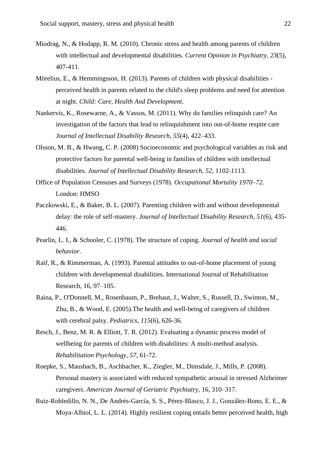- Miodrag, N., & Hodapp, R. M. (2010). Chronic stress and health among parents of children with intellectual and developmental disabilities. *Current Opinion in Psychiatry*, *23*(5), 407-411.
- Mörelius, E., & Hemmingsson, H. (2013). Parents of children with physical disabilities perceived health in parents related to the child's sleep problems and need for attention at night. *Child: Care, Health And Development*.
- Nankervis, K., Rosewarne, A., & Vassos, M. (2011). Why do families relinquish care? An investigation of the factors that lead to relinquishment into out-of-home respite care *Journal of Intellectual Disability Research, 55*[\(4\),](http://onlinelibrary.wiley.com/doi/10.1111/jir.2011.55.issue-4/issuetoc) 422–433.
- Olsson, M. B., & Hwang, C. P. (2008) Socioeconomic and psychological variables as risk and protective factors for parental well‐being in families of children with intellectual disabilities. *Journal of Intellectual Disability Research, 52,* 1102-1113.
- Office of Population Censuses and Surveys (1978). *Occupational Mortality 1970–72*. London: HMSO
- Paczkowski, E., & Baker, B. L. (2007). Parenting children with and without developmental delay: the role of self‐mastery. *Journal of Intellectual Disability Research*, *51*(6), 435- 446.
- Pearlin, L. I., & Schooler, C. (1978). The structure of coping. *Journal of health and social behavior*.
- Raif, R., & Rimmerman, A. (1993). Parental attitudes to out-of-home placement of young children with developmental disabilities. International Journal of Rehabilitation Research, 16, 97–105.
- Raina, P., O'Donnell, M., Rosenbaum, P., Brehaut, J., Walter, S., Russell, D., Swinton, M., Zhu, B., & Wood, E. (2005).The health and well-being of caregivers of children with cerebral palsy. *Pediatrics, 115*(6), 626-36.
- Resch, J., Benz, M. R. & Elliott, T. R. (2012). Evaluating a dynamic process model of wellbeing for parents of children with disabilities: A multi-method analysis. *Rehabilitation Psychology, 57*, 61-72.
- Roepke, S., Mausbach, B., Aschbacher, K., Ziegler, M., Dimsdale, J., Mills, P. (2008). Personal mastery is associated with reduced sympathetic arousal in stressed Alzheimer caregivers. *American Journal of Geriatric Psychiatry,* 16, 310–317.
- Ruiz-Robledillo, N. N., De Andrés-García, S. S., Pérez-Blasco, J. J., González-Bono, E. E., & Moya-Albiol, L. L. (2014). Highly resilient coping entails better perceived health, high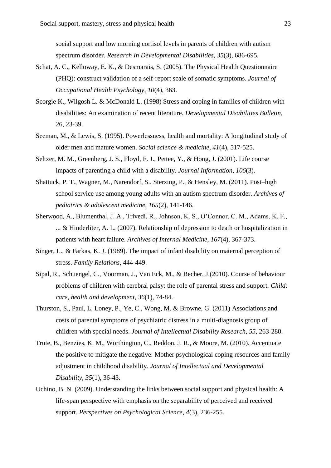social support and low morning cortisol levels in parents of children with autism spectrum disorder. *Research In Developmental Disabilities*, *35*(3), 686-695.

- Schat, A. C., Kelloway, E. K., & Desmarais, S. (2005). The Physical Health Questionnaire (PHQ): construct validation of a self-report scale of somatic symptoms. *Journal of Occupational Health Psychology*, *10*(4), 363.
- Scorgie K., Wilgosh L. & McDonald L. (1998) Stress and coping in families of children with disabilities: An examination of recent literature. *Developmental Disabilities Bulletin,*  26*,* 23-39.
- Seeman, M., & Lewis, S. (1995). Powerlessness, health and mortality: A longitudinal study of older men and mature women. *Social science & medicine*, *41*(4), 517-525.
- Seltzer, M. M., Greenberg, J. S., Floyd, F. J., Pettee, Y., & Hong, J. (2001). Life course impacts of parenting a child with a disability. *Journal Information*, *106*(3).
- Shattuck, P. T., Wagner, M., Narendorf, S., Sterzing, P., & Hensley, M. (2011). Post–high school service use among young adults with an autism spectrum disorder. *Archives of pediatrics & adolescent medicine*, *165*(2), 141-146.
- Sherwood, A., Blumenthal, J. A., Trivedi, R., Johnson, K. S., O'Connor, C. M., Adams, K. F., ... & Hinderliter, A. L. (2007). Relationship of depression to death or hospitalization in patients with heart failure. *Archives of Internal Medicine*, *167*(4), 367-373.
- Singer, L., & Farkas, K. J. (1989). The impact of infant disability on maternal perception of stress. *Family Relations*, 444-449.
- Sipal, R., Schuengel, C., Voorman, J., Van Eck, M., & Becher, J.(2010). Course of behaviour problems of children with cerebral palsy: the role of parental stress and support. *Child: care, health and development*, *36*(1), 74-84.
- Thurston, S., Paul, L, Loney, P., Ye, C., Wong, M. & Browne, G. (2011) Associations and costs of parental symptoms of psychiatric distress in a multi-diagnosis group of children with special needs. *Journal of Intellectual Disability Research, 55,* 263-280.
- Trute, B., Benzies, K. M., Worthington, C., Reddon, J. R., & Moore, M. (2010). Accentuate the positive to mitigate the negative: Mother psychological coping resources and family adjustment in childhood disability. *Journal of Intellectual and Developmental Disability*, *35*(1), 36-43.
- Uchino, B. N. (2009). Understanding the links between social support and physical health: A life-span perspective with emphasis on the separability of perceived and received support. *Perspectives on Psychological Science*, *4*(3), 236-255.